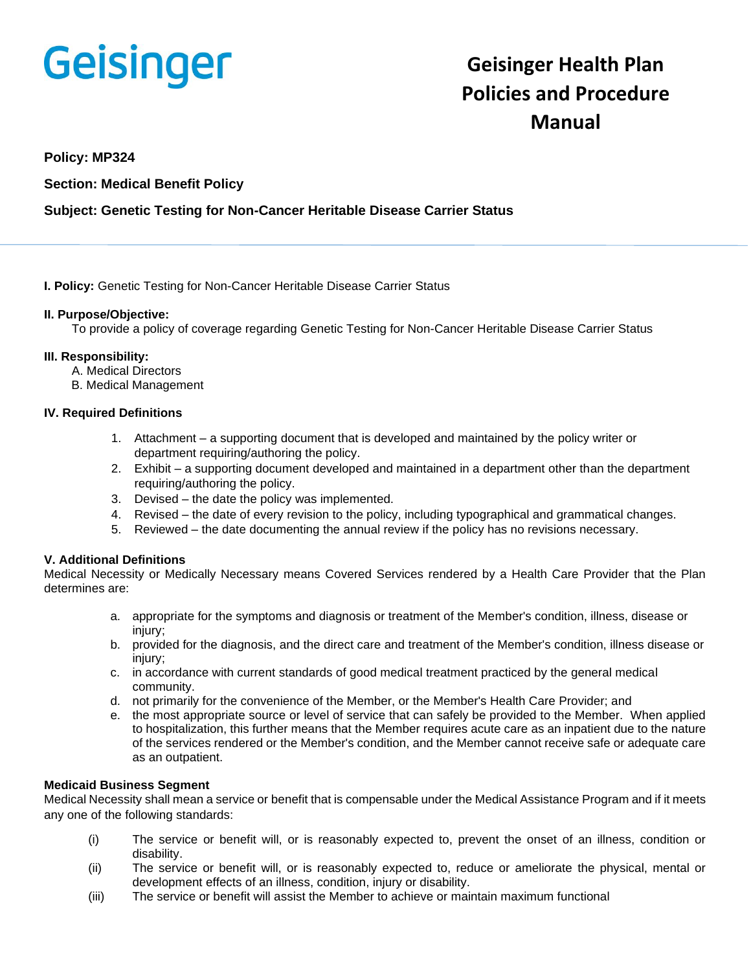# **Geisinger**

# **Geisinger Health Plan Policies and Procedure Manual**

## **Policy: MP324**

# **Section: Medical Benefit Policy**

# **Subject: Genetic Testing for Non-Cancer Heritable Disease Carrier Status**

#### **I. Policy:** Genetic Testing for Non-Cancer Heritable Disease Carrier Status

#### **II. Purpose/Objective:**

To provide a policy of coverage regarding Genetic Testing for Non-Cancer Heritable Disease Carrier Status

#### **III. Responsibility:**

- A. Medical Directors
- B. Medical Management

#### **IV. Required Definitions**

- 1. Attachment a supporting document that is developed and maintained by the policy writer or department requiring/authoring the policy.
- 2. Exhibit a supporting document developed and maintained in a department other than the department requiring/authoring the policy.
- 3. Devised the date the policy was implemented.
- 4. Revised the date of every revision to the policy, including typographical and grammatical changes.
- 5. Reviewed the date documenting the annual review if the policy has no revisions necessary.

#### **V. Additional Definitions**

Medical Necessity or Medically Necessary means Covered Services rendered by a Health Care Provider that the Plan determines are:

- a. appropriate for the symptoms and diagnosis or treatment of the Member's condition, illness, disease or injury;
- b. provided for the diagnosis, and the direct care and treatment of the Member's condition, illness disease or injury;
- c. in accordance with current standards of good medical treatment practiced by the general medical community.
- d. not primarily for the convenience of the Member, or the Member's Health Care Provider; and
- e. the most appropriate source or level of service that can safely be provided to the Member. When applied to hospitalization, this further means that the Member requires acute care as an inpatient due to the nature of the services rendered or the Member's condition, and the Member cannot receive safe or adequate care as an outpatient.

#### **Medicaid Business Segment**

Medical Necessity shall mean a service or benefit that is compensable under the Medical Assistance Program and if it meets any one of the following standards:

- (i) The service or benefit will, or is reasonably expected to, prevent the onset of an illness, condition or disability.
- (ii) The service or benefit will, or is reasonably expected to, reduce or ameliorate the physical, mental or development effects of an illness, condition, injury or disability.
- (iii) The service or benefit will assist the Member to achieve or maintain maximum functional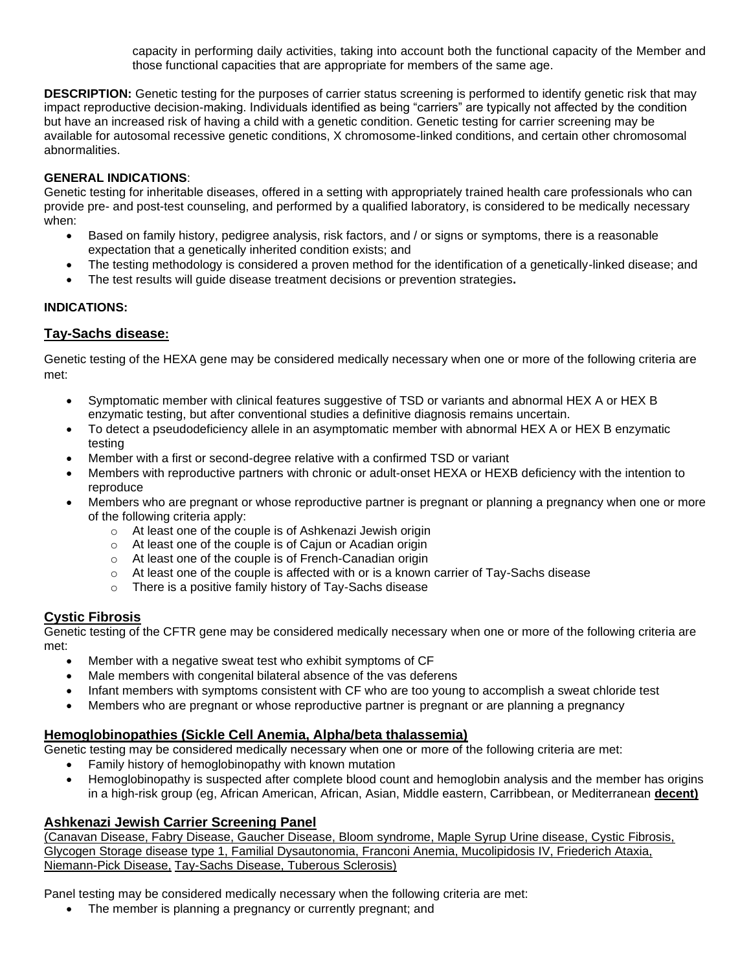capacity in performing daily activities, taking into account both the functional capacity of the Member and those functional capacities that are appropriate for members of the same age.

**DESCRIPTION:** Genetic testing for the purposes of carrier status screening is performed to identify genetic risk that may impact reproductive decision-making. Individuals identified as being "carriers" are typically not affected by the condition but have an increased risk of having a child with a genetic condition. Genetic testing for carrier screening may be available for autosomal recessive genetic conditions, X chromosome-linked conditions, and certain other chromosomal abnormalities.

#### **GENERAL INDICATIONS**:

Genetic testing for inheritable diseases, offered in a setting with appropriately trained health care professionals who can provide pre- and post-test counseling, and performed by a qualified laboratory, is considered to be medically necessary when:

- Based on family history, pedigree analysis, risk factors, and / or signs or symptoms, there is a reasonable expectation that a genetically inherited condition exists; and
- The testing methodology is considered a proven method for the identification of a genetically-linked disease; and
- The test results will guide disease treatment decisions or prevention strategies**.**

#### **INDICATIONS:**

# **Tay-Sachs disease:**

Genetic testing of the HEXA gene may be considered medically necessary when one or more of the following criteria are met:

- Symptomatic member with clinical features suggestive of TSD or variants and abnormal HEX A or HEX B enzymatic testing, but after conventional studies a definitive diagnosis remains uncertain.
- To detect a pseudodeficiency allele in an asymptomatic member with abnormal HEX A or HEX B enzymatic testing
- Member with a first or second-degree relative with a confirmed TSD or variant
- Members with reproductive partners with chronic or adult-onset HEXA or HEXB deficiency with the intention to reproduce
- Members who are pregnant or whose reproductive partner is pregnant or planning a pregnancy when one or more of the following criteria apply:
	- o At least one of the couple is of Ashkenazi Jewish origin
	- o At least one of the couple is of Cajun or Acadian origin
	- o At least one of the couple is of French-Canadian origin
	- $\circ$  At least one of the couple is affected with or is a known carrier of Tay-Sachs disease
	- o There is a positive family history of Tay-Sachs disease

#### **Cystic Fibrosis**

Genetic testing of the CFTR gene may be considered medically necessary when one or more of the following criteria are met:

- Member with a negative sweat test who exhibit symptoms of CF
- Male members with congenital bilateral absence of the vas deferens
- Infant members with symptoms consistent with CF who are too young to accomplish a sweat chloride test
- Members who are pregnant or whose reproductive partner is pregnant or are planning a pregnancy

# **Hemoglobinopathies (Sickle Cell Anemia, Alpha/beta thalassemia)**

Genetic testing may be considered medically necessary when one or more of the following criteria are met:

- Family history of hemoglobinopathy with known mutation
- Hemoglobinopathy is suspected after complete blood count and hemoglobin analysis and the member has origins in a high-risk group (eg, African American, African, Asian, Middle eastern, Carribbean, or Mediterranean **decent)**

#### **Ashkenazi Jewish Carrier Screening Panel**

(Canavan Disease, Fabry Disease, Gaucher Disease, Bloom syndrome, Maple Syrup Urine disease, Cystic Fibrosis, Glycogen Storage disease type 1, Familial Dysautonomia, Franconi Anemia, Mucolipidosis IV, Friederich Ataxia, Niemann-Pick Disease, Tay-Sachs Disease, Tuberous Sclerosis)

Panel testing may be considered medically necessary when the following criteria are met:

The member is planning a pregnancy or currently pregnant; and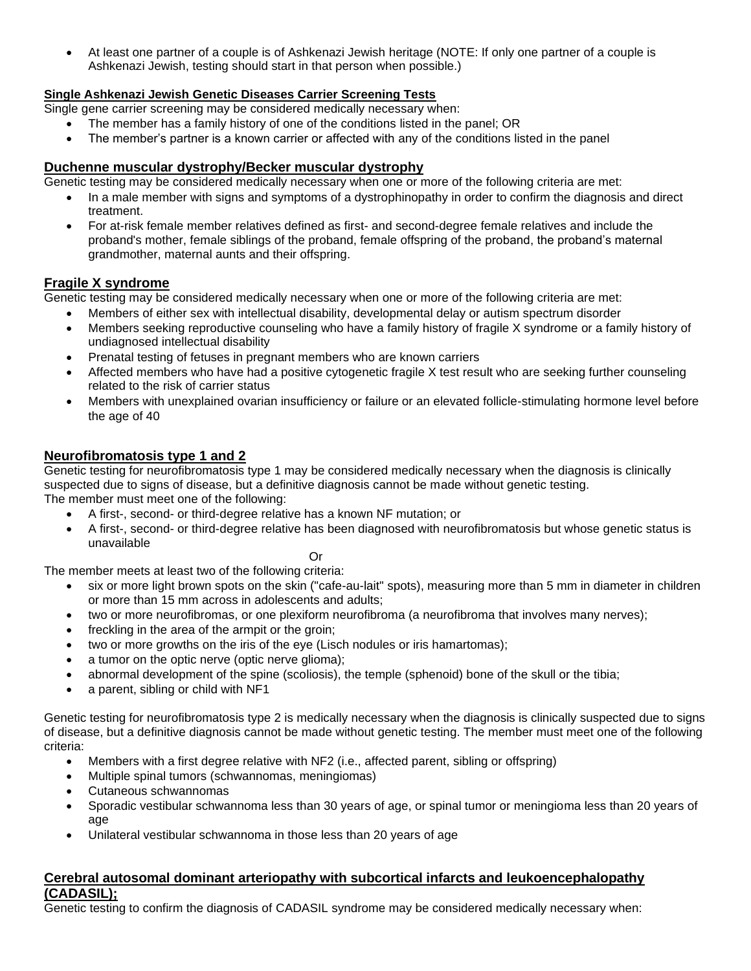• At least one partner of a couple is of Ashkenazi Jewish heritage (NOTE: If only one partner of a couple is Ashkenazi Jewish, testing should start in that person when possible.)

## **Single Ashkenazi Jewish Genetic Diseases Carrier Screening Tests**

Single gene carrier screening may be considered medically necessary when:

- The member has a family history of one of the conditions listed in the panel; OR
- The member's partner is a known carrier or affected with any of the conditions listed in the panel

#### **Duchenne muscular dystrophy/Becker muscular dystrophy**

Genetic testing may be considered medically necessary when one or more of the following criteria are met:

- In a male member with signs and symptoms of a dystrophinopathy in order to confirm the diagnosis and direct treatment.
- For at-risk female member relatives defined as first- and second-degree female relatives and include the proband's mother, female siblings of the proband, female offspring of the proband, the proband's maternal grandmother, maternal aunts and their offspring.

#### **Fragile X syndrome**

Genetic testing may be considered medically necessary when one or more of the following criteria are met:

- Members of either sex with intellectual disability, developmental delay or autism spectrum disorder
- Members seeking reproductive counseling who have a family history of fragile X syndrome or a family history of undiagnosed intellectual disability
- Prenatal testing of fetuses in pregnant members who are known carriers
- Affected members who have had a positive cytogenetic fragile X test result who are seeking further counseling related to the risk of carrier status
- Members with unexplained ovarian insufficiency or failure or an elevated follicle-stimulating hormone level before the age of 40

#### **Neurofibromatosis type 1 and 2**

Genetic testing for neurofibromatosis type 1 may be considered medically necessary when the diagnosis is clinically suspected due to signs of disease, but a definitive diagnosis cannot be made without genetic testing. The member must meet one of the following:

- A first-, second- or third-degree relative has a known NF mutation; or
- A first-, second- or third-degree relative has been diagnosed with neurofibromatosis but whose genetic status is unavailable

Or

The member meets at least two of the following criteria:

- six or more light brown spots on the skin ("cafe-au-lait" spots), measuring more than 5 mm in diameter in children or more than 15 mm across in adolescents and adults;
- two or more neurofibromas, or one plexiform neurofibroma (a neurofibroma that involves many nerves);
- freckling in the area of the armpit or the groin;
- two or more growths on the iris of the eye (Lisch nodules or iris hamartomas);
- a tumor on the optic nerve (optic nerve glioma);
- abnormal development of the spine (scoliosis), the temple (sphenoid) bone of the skull or the tibia;
- a parent, sibling or child with NF1

Genetic testing for neurofibromatosis type 2 is medically necessary when the diagnosis is clinically suspected due to signs of disease, but a definitive diagnosis cannot be made without genetic testing. The member must meet one of the following criteria:

- Members with a first degree relative with NF2 (i.e., affected parent, sibling or offspring)
- Multiple spinal tumors (schwannomas, meningiomas)
- Cutaneous schwannomas
- Sporadic vestibular schwannoma less than 30 years of age, or spinal tumor or meningioma less than 20 years of age
- Unilateral vestibular schwannoma in those less than 20 years of age

# **Cerebral autosomal dominant arteriopathy with subcortical infarcts and leukoencephalopathy (CADASIL);**

Genetic testing to confirm the diagnosis of CADASIL syndrome may be considered medically necessary when: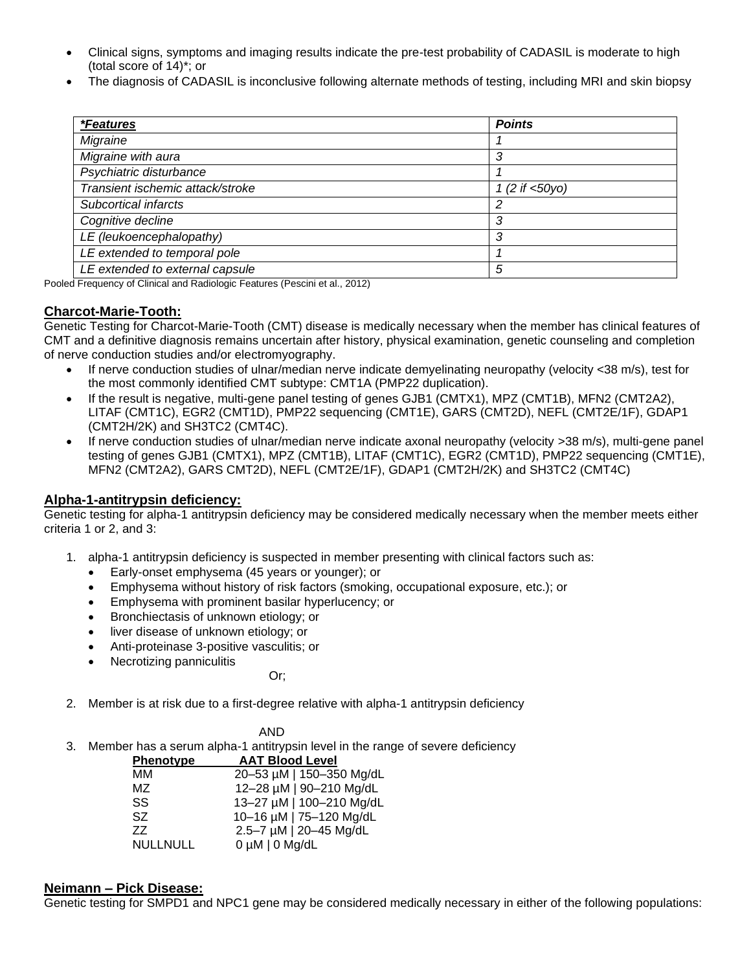- Clinical signs, symptoms and imaging results indicate the pre-test probability of CADASIL is moderate to high (total score of 14)\*; or
- The diagnosis of CADASIL is inconclusive following alternate methods of testing, including MRI and skin biopsy

| <i><b>*Features</b></i>          | <b>Points</b>     |
|----------------------------------|-------------------|
| Migraine                         |                   |
| Migraine with aura               | 3                 |
| Psychiatric disturbance          |                   |
| Transient ischemic attack/stroke | 1 (2 if $<50y0$ ) |
| Subcortical infarcts             | 2                 |
| Cognitive decline                | 3                 |
| LE (leukoencephalopathy)         | 3                 |
| LE extended to temporal pole     |                   |
| LE extended to external capsule  | 5                 |

Pooled Frequency of Clinical and Radiologic Features (Pescini et al., 2012)

#### **Charcot-Marie-Tooth:**

Genetic Testing for Charcot-Marie-Tooth (CMT) disease is medically necessary when the member has clinical features of CMT and a definitive diagnosis remains uncertain after history, physical examination, genetic counseling and completion of nerve conduction studies and/or electromyography.

- If nerve conduction studies of ulnar/median nerve indicate demyelinating neuropathy (velocity <38 m/s), test for the most commonly identified CMT subtype: CMT1A (PMP22 duplication).
- If the result is negative, multi-gene panel testing of genes GJB1 (CMTX1), MPZ (CMT1B), MFN2 (CMT2A2), LITAF (CMT1C), EGR2 (CMT1D), PMP22 sequencing (CMT1E), GARS (CMT2D), NEFL (CMT2E/1F), GDAP1 (CMT2H/2K) and SH3TC2 (CMT4C).
- If nerve conduction studies of ulnar/median nerve indicate axonal neuropathy (velocity >38 m/s), multi-gene panel testing of genes GJB1 (CMTX1), MPZ (CMT1B), LITAF (CMT1C), EGR2 (CMT1D), PMP22 sequencing (CMT1E), MFN2 (CMT2A2), GARS CMT2D), NEFL (CMT2E/1F), GDAP1 (CMT2H/2K) and SH3TC2 (CMT4C)

# **Alpha-1-antitrypsin deficiency:**

Genetic testing for alpha-1 antitrypsin deficiency may be considered medically necessary when the member meets either criteria 1 or 2, and 3:

- 1. alpha-1 antitrypsin deficiency is suspected in member presenting with clinical factors such as:
	- Early-onset emphysema (45 years or younger); or
	- Emphysema without history of risk factors (smoking, occupational exposure, etc.); or
	- Emphysema with prominent basilar hyperlucency; or
	- Bronchiectasis of unknown etiology; or
	- liver disease of unknown etiology; or
	- Anti-proteinase 3-positive vasculitis; or
	- Necrotizing panniculitis

or; and the contract of the contract of the contract of the contract of the contract of the contract of the contract of the contract of the contract of the contract of the contract of the contract of the contract of the co

2. Member is at risk due to a first-degree relative with alpha-1 antitrypsin deficiency

AND

3. Member has a serum alpha-1 antitrypsin level in the range of severe deficiency

| <b>Phenotype</b> | <b>AAT Blood Level</b>   |
|------------------|--------------------------|
| ΜМ               | 20-53 µM   150-350 Mg/dL |
| MZ               | 12-28 µM   90-210 Mg/dL  |
| SS               | 13-27 µM   100-210 Mg/dL |
| SZ.              | 10-16 µM   75-120 Mg/dL  |
| 77               | 2.5-7 µM   20-45 Mg/dL   |
| <b>NULLNULL</b>  | $0 \mu M$   0 Mg/dL      |

#### **Neimann – Pick Disease:**

Genetic testing for SMPD1 and NPC1 gene may be considered medically necessary in either of the following populations: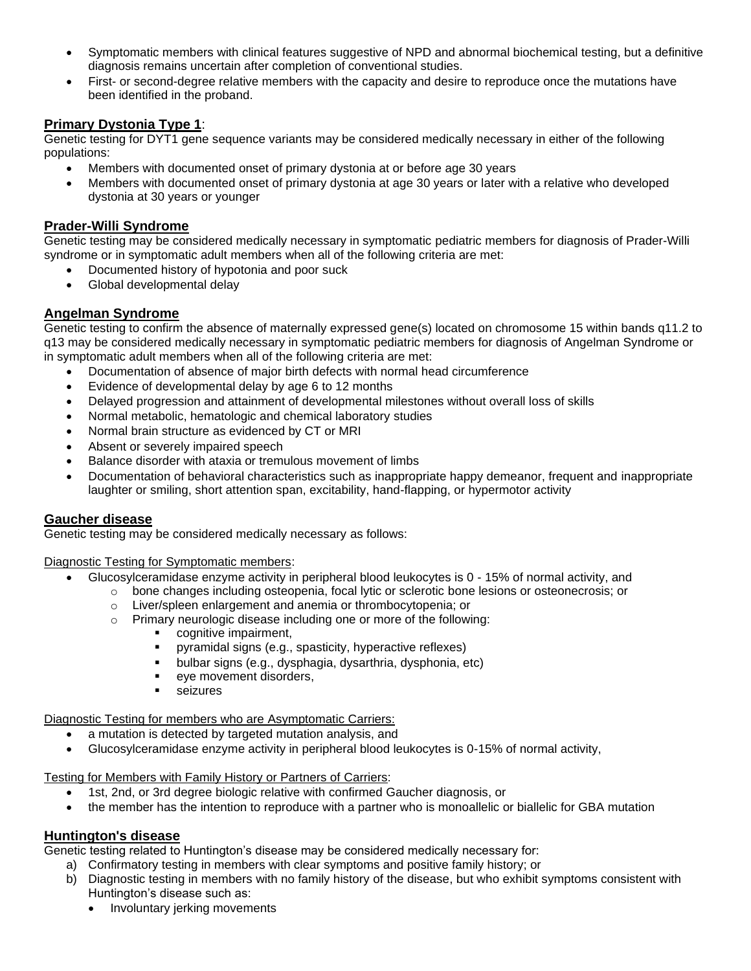- Symptomatic members with clinical features suggestive of NPD and abnormal biochemical testing, but a definitive diagnosis remains uncertain after completion of conventional studies.
- First- or second-degree relative members with the capacity and desire to reproduce once the mutations have been identified in the proband.

# **Primary Dystonia Type 1**:

Genetic testing for DYT1 gene sequence variants may be considered medically necessary in either of the following populations:

- Members with documented onset of primary dystonia at or before age 30 years
- Members with documented onset of primary dystonia at age 30 years or later with a relative who developed dystonia at 30 years or younger

#### **Prader-Willi Syndrome**

Genetic testing may be considered medically necessary in symptomatic pediatric members for diagnosis of Prader-Willi syndrome or in symptomatic adult members when all of the following criteria are met:

- Documented history of hypotonia and poor suck
- Global developmental delay

# **Angelman Syndrome**

Genetic testing to confirm the absence of maternally expressed gene(s) located on chromosome 15 within bands q11.2 to q13 may be considered medically necessary in symptomatic pediatric members for diagnosis of Angelman Syndrome or in symptomatic adult members when all of the following criteria are met:

- Documentation of absence of major birth defects with normal head circumference
- Evidence of developmental delay by age 6 to 12 months
- Delayed progression and attainment of developmental milestones without overall loss of skills
- Normal metabolic, hematologic and chemical laboratory studies
- Normal brain structure as evidenced by CT or MRI
- Absent or severely impaired speech
- Balance disorder with ataxia or tremulous movement of limbs
- Documentation of behavioral characteristics such as inappropriate happy demeanor, frequent and inappropriate laughter or smiling, short attention span, excitability, hand-flapping, or hypermotor activity

#### **Gaucher disease**

Genetic testing may be considered medically necessary as follows:

Diagnostic Testing for Symptomatic members:

- Glucosylceramidase enzyme activity in peripheral blood leukocytes is 0 15% of normal activity, and
	- o bone changes including osteopenia, focal lytic or sclerotic bone lesions or osteonecrosis; or
	- o Liver/spleen enlargement and anemia or thrombocytopenia; or
	- o Primary neurologic disease including one or more of the following:
		- cognitive impairment,
		- pyramidal signs (e.g., spasticity, hyperactive reflexes)
		- bulbar signs (e.g., dysphagia, dysarthria, dysphonia, etc)
		- eye movement disorders,
		- seizures

Diagnostic Testing for members who are Asymptomatic Carriers:

- a mutation is detected by targeted mutation analysis, and
- Glucosylceramidase enzyme activity in peripheral blood leukocytes is 0-15% of normal activity,

Testing for Members with Family History or Partners of Carriers:

- 1st, 2nd, or 3rd degree biologic relative with confirmed Gaucher diagnosis, or
- the member has the intention to reproduce with a partner who is monoallelic or biallelic for GBA mutation

#### **Huntington's disease**

Genetic testing related to Huntington's disease may be considered medically necessary for:

- a) Confirmatory testing in members with clear symptoms and positive family history; or
- b) Diagnostic testing in members with no family history of the disease, but who exhibit symptoms consistent with Huntington's disease such as:
	- Involuntary jerking movements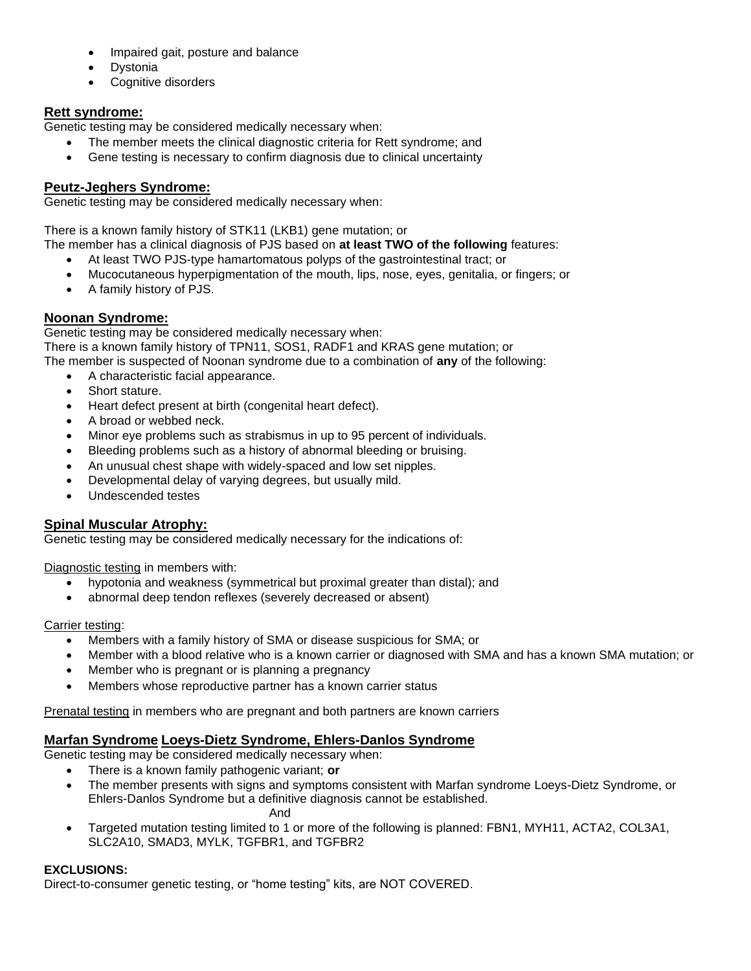- Impaired gait, posture and balance
- **Dystonia**
- Cognitive disorders

# **Rett syndrome:**

Genetic testing may be considered medically necessary when:

- The member meets the clinical diagnostic criteria for Rett syndrome; and
- Gene testing is necessary to confirm diagnosis due to clinical uncertainty

# **Peutz-Jeghers Syndrome:**

Genetic testing may be considered medically necessary when:

There is a known family history of STK11 (LKB1) gene mutation; or

The member has a clinical diagnosis of PJS based on **at least TWO of the following** features:

- At least TWO PJS-type hamartomatous polyps of the gastrointestinal tract; or
- Mucocutaneous hyperpigmentation of the mouth, lips, nose, eyes, genitalia, or fingers; or
- A family history of PJS.

# **Noonan Syndrome:**

Genetic testing may be considered medically necessary when: There is a known family history of TPN11, SOS1, RADF1 and KRAS gene mutation; or The member is suspected of Noonan syndrome due to a combination of **any** of the following:

- A characteristic facial appearance.
- Short stature.
- Heart defect present at birth (congenital heart defect).
- A broad or webbed neck.
- Minor eye problems such as strabismus in up to 95 percent of individuals.
- Bleeding problems such as a history of abnormal bleeding or bruising.
- An unusual chest shape with widely-spaced and low set nipples.
- Developmental delay of varying degrees, but usually mild.
- Undescended testes

# **Spinal Muscular Atrophy:**

Genetic testing may be considered medically necessary for the indications of:

Diagnostic testing in members with:

- hypotonia and weakness (symmetrical but proximal greater than distal); and
- abnormal deep tendon reflexes (severely decreased or absent)

#### Carrier testing:

- Members with a family history of SMA or disease suspicious for SMA; or
- Member with a blood relative who is a known carrier or diagnosed with SMA and has a known SMA mutation; or
- Member who is pregnant or is planning a pregnancy
- Members whose reproductive partner has a known carrier status

Prenatal testing in members who are pregnant and both partners are known carriers

# **Marfan Syndrome Loeys-Dietz Syndrome, Ehlers-Danlos Syndrome**

Genetic testing may be considered medically necessary when:

- There is a known family pathogenic variant; **or**
- The member presents with signs and symptoms consistent with Marfan syndrome Loeys-Dietz Syndrome, or Ehlers-Danlos Syndrome but a definitive diagnosis cannot be established.

And

• Targeted mutation testing limited to 1 or more of the following is planned: FBN1, MYH11, ACTA2, COL3A1, SLC2A10, SMAD3, MYLK, TGFBR1, and TGFBR2

#### **EXCLUSIONS:**

Direct-to-consumer genetic testing, or "home testing" kits, are NOT COVERED.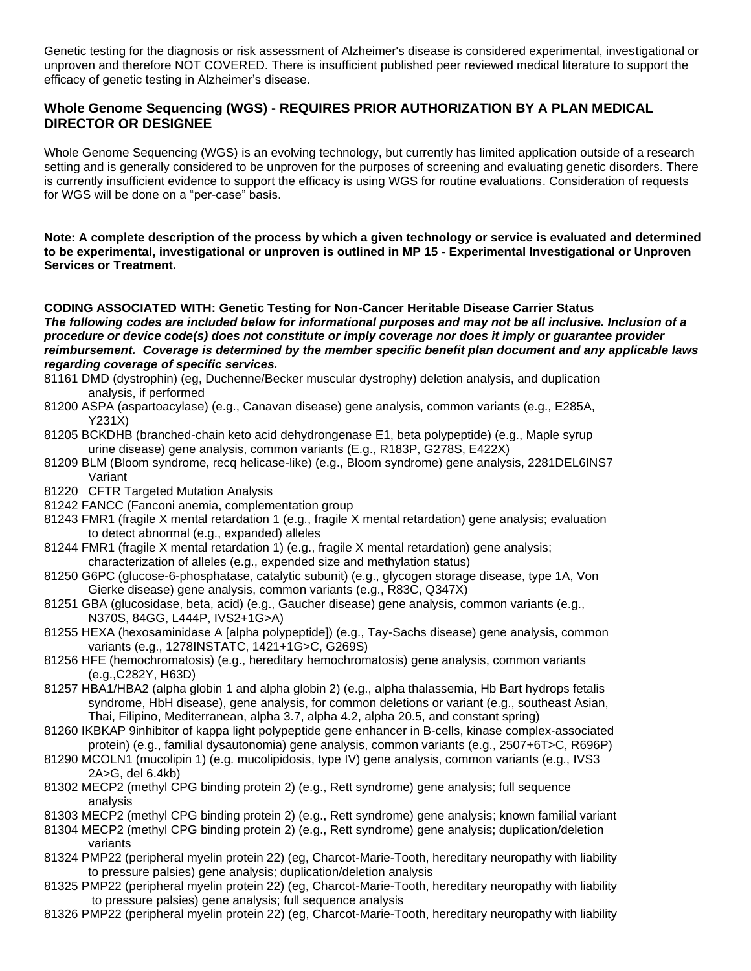Genetic testing for the diagnosis or risk assessment of Alzheimer's disease is considered experimental, investigational or unproven and therefore NOT COVERED. There is insufficient published peer reviewed medical literature to support the efficacy of genetic testing in Alzheimer's disease.

# **Whole Genome Sequencing (WGS) - REQUIRES PRIOR AUTHORIZATION BY A PLAN MEDICAL DIRECTOR OR DESIGNEE**

Whole Genome Sequencing (WGS) is an evolving technology, but currently has limited application outside of a research setting and is generally considered to be unproven for the purposes of screening and evaluating genetic disorders. There is currently insufficient evidence to support the efficacy is using WGS for routine evaluations. Consideration of requests for WGS will be done on a "per-case" basis.

**Note: A complete description of the process by which a given technology or service is evaluated and determined to be experimental, investigational or unproven is outlined in MP 15 - Experimental Investigational or Unproven Services or Treatment.**

**CODING ASSOCIATED WITH: Genetic Testing for Non-Cancer Heritable Disease Carrier Status** *The following codes are included below for informational purposes and may not be all inclusive. Inclusion of a procedure or device code(s) does not constitute or imply coverage nor does it imply or guarantee provider reimbursement. Coverage is determined by the member specific benefit plan document and any applicable laws regarding coverage of specific services.*

- 81161 DMD (dystrophin) (eg, Duchenne/Becker muscular dystrophy) deletion analysis, and duplication analysis, if performed
- 81200 ASPA (aspartoacylase) (e.g., Canavan disease) gene analysis, common variants (e.g., E285A, Y231X)
- 81205 BCKDHB (branched-chain keto acid dehydrongenase E1, beta polypeptide) (e.g., Maple syrup urine disease) gene analysis, common variants (E.g., R183P, G278S, E422X)
- 81209 BLM (Bloom syndrome, recq helicase-like) (e.g., Bloom syndrome) gene analysis, 2281DEL6INS7 Variant
- 81220 CFTR Targeted Mutation Analysis
- 81242 FANCC (Fanconi anemia, complementation group
- 81243 FMR1 (fragile X mental retardation 1 (e.g., fragile X mental retardation) gene analysis; evaluation to detect abnormal (e.g., expanded) alleles
- 81244 FMR1 (fragile X mental retardation 1) (e.g., fragile X mental retardation) gene analysis; characterization of alleles (e.g., expended size and methylation status)
- 81250 G6PC (glucose-6-phosphatase, catalytic subunit) (e.g., glycogen storage disease, type 1A, Von Gierke disease) gene analysis, common variants (e.g., R83C, Q347X)
- 81251 GBA (glucosidase, beta, acid) (e.g., Gaucher disease) gene analysis, common variants (e.g., N370S, 84GG, L444P, IVS2+1G>A)
- 81255 HEXA (hexosaminidase A [alpha polypeptide]) (e.g., Tay-Sachs disease) gene analysis, common variants (e.g., 1278INSTATC, 1421+1G>C, G269S)
- 81256 HFE (hemochromatosis) (e.g., hereditary hemochromatosis) gene analysis, common variants (e.g.,C282Y, H63D)
- 81257 HBA1/HBA2 (alpha globin 1 and alpha globin 2) (e.g., alpha thalassemia, Hb Bart hydrops fetalis syndrome, HbH disease), gene analysis, for common deletions or variant (e.g., southeast Asian, Thai, Filipino, Mediterranean, alpha 3.7, alpha 4.2, alpha 20.5, and constant spring)
- 81260 IKBKAP 9inhibitor of kappa light polypeptide gene enhancer in B-cells, kinase complex-associated protein) (e.g., familial dysautonomia) gene analysis, common variants (e.g., 2507+6T>C, R696P)
- 81290 MCOLN1 (mucolipin 1) (e.g. mucolipidosis, type IV) gene analysis, common variants (e.g., IVS3 2A>G, del 6.4kb)
- 81302 MECP2 (methyl CPG binding protein 2) (e.g., Rett syndrome) gene analysis; full sequence analysis
- 81303 MECP2 (methyl CPG binding protein 2) (e.g., Rett syndrome) gene analysis; known familial variant
- 81304 MECP2 (methyl CPG binding protein 2) (e.g., Rett syndrome) gene analysis; duplication/deletion variants
- 81324 PMP22 (peripheral myelin protein 22) (eg, Charcot-Marie-Tooth, hereditary neuropathy with liability to pressure palsies) gene analysis; duplication/deletion analysis
- 81325 PMP22 (peripheral myelin protein 22) (eg, Charcot-Marie-Tooth, hereditary neuropathy with liability to pressure palsies) gene analysis; full sequence analysis
- 81326 PMP22 (peripheral myelin protein 22) (eg, Charcot-Marie-Tooth, hereditary neuropathy with liability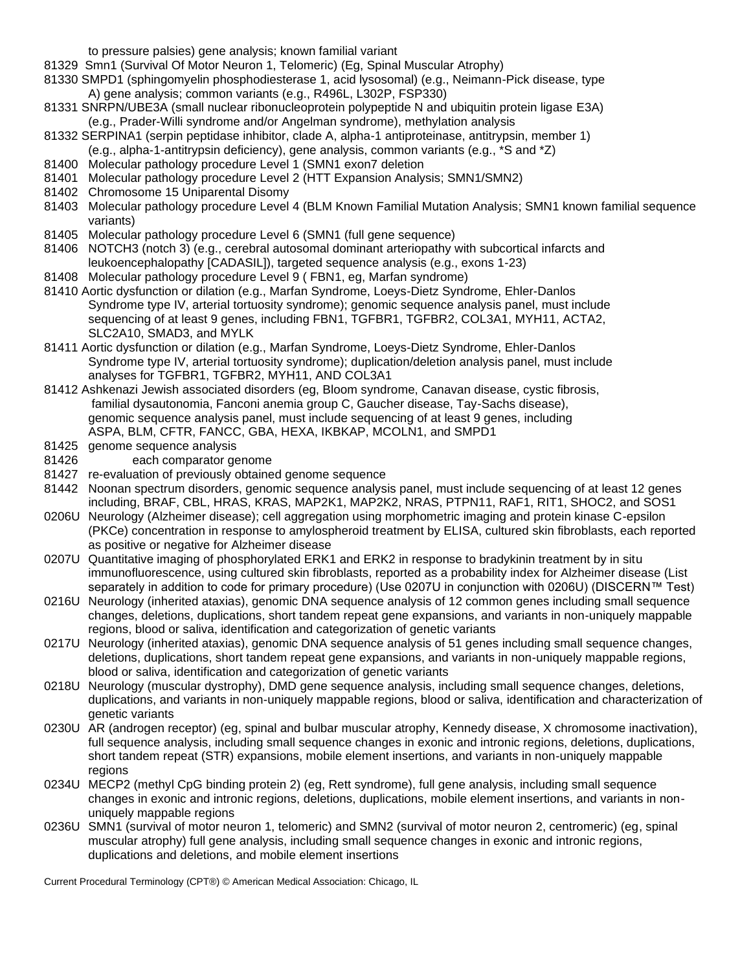to pressure palsies) gene analysis; known familial variant

- 81329 Smn1 (Survival Of Motor Neuron 1, Telomeric) (Eg, Spinal Muscular Atrophy)
- 81330 SMPD1 (sphingomyelin phosphodiesterase 1, acid lysosomal) (e.g., Neimann-Pick disease, type A) gene analysis; common variants (e.g., R496L, L302P, FSP330)
- 81331 SNRPN/UBE3A (small nuclear ribonucleoprotein polypeptide N and ubiquitin protein ligase E3A) (e.g., Prader-Willi syndrome and/or Angelman syndrome), methylation analysis
- 81332 SERPINA1 (serpin peptidase inhibitor, clade A, alpha-1 antiproteinase, antitrypsin, member 1)
- (e.g., alpha-1-antitrypsin deficiency), gene analysis, common variants (e.g., \*S and \*Z)
- 81400 Molecular pathology procedure Level 1 (SMN1 exon7 deletion
- 81401 Molecular pathology procedure Level 2 (HTT Expansion Analysis; SMN1/SMN2)
- 81402 Chromosome 15 Uniparental Disomy
- 81403 Molecular pathology procedure Level 4 (BLM Known Familial Mutation Analysis; SMN1 known familial sequence variants)
- 81405 Molecular pathology procedure Level 6 (SMN1 (full gene sequence)
- 81406 NOTCH3 (notch 3) (e.g., cerebral autosomal dominant arteriopathy with subcortical infarcts and leukoencephalopathy [CADASIL]), targeted sequence analysis (e.g., exons 1-23)
- 81408 Molecular pathology procedure Level 9 ( FBN1, eg, Marfan syndrome)
- 81410 Aortic dysfunction or dilation (e.g., Marfan Syndrome, Loeys-Dietz Syndrome, Ehler-Danlos Syndrome type IV, arterial tortuosity syndrome); genomic sequence analysis panel, must include sequencing of at least 9 genes, including FBN1, TGFBR1, TGFBR2, COL3A1, MYH11, ACTA2, SLC2A10, SMAD3, and MYLK
- 81411 Aortic dysfunction or dilation (e.g., Marfan Syndrome, Loeys-Dietz Syndrome, Ehler-Danlos Syndrome type IV, arterial tortuosity syndrome); duplication/deletion analysis panel, must include analyses for TGFBR1, TGFBR2, MYH11, AND COL3A1
- 81412 Ashkenazi Jewish associated disorders (eg, Bloom syndrome, Canavan disease, cystic fibrosis, familial dysautonomia, Fanconi anemia group C, Gaucher disease, Tay-Sachs disease), genomic sequence analysis panel, must include sequencing of at least 9 genes, including ASPA, BLM, CFTR, FANCC, GBA, HEXA, IKBKAP, MCOLN1, and SMPD1
- 81425 genome sequence analysis
- 81426 each comparator genome
- 81427 re-evaluation of previously obtained genome sequence
- 81442 Noonan spectrum disorders, genomic sequence analysis panel, must include sequencing of at least 12 genes including, BRAF, CBL, HRAS, KRAS, MAP2K1, MAP2K2, NRAS, PTPN11, RAF1, RIT1, SHOC2, and SOS1
- 0206U Neurology (Alzheimer disease); cell aggregation using morphometric imaging and protein kinase C-epsilon (PKCe) concentration in response to amylospheroid treatment by ELISA, cultured skin fibroblasts, each reported as positive or negative for Alzheimer disease
- 0207U Quantitative imaging of phosphorylated ERK1 and ERK2 in response to bradykinin treatment by in situ immunofluorescence, using cultured skin fibroblasts, reported as a probability index for Alzheimer disease (List separately in addition to code for primary procedure) (Use 0207U in conjunction with 0206U) (DISCERN™ Test)
- 0216U Neurology (inherited ataxias), genomic DNA sequence analysis of 12 common genes including small sequence changes, deletions, duplications, short tandem repeat gene expansions, and variants in non-uniquely mappable regions, blood or saliva, identification and categorization of genetic variants
- 0217U Neurology (inherited ataxias), genomic DNA sequence analysis of 51 genes including small sequence changes, deletions, duplications, short tandem repeat gene expansions, and variants in non-uniquely mappable regions, blood or saliva, identification and categorization of genetic variants
- 0218U Neurology (muscular dystrophy), DMD gene sequence analysis, including small sequence changes, deletions, duplications, and variants in non-uniquely mappable regions, blood or saliva, identification and characterization of genetic variants
- 0230U AR (androgen receptor) (eg, spinal and bulbar muscular atrophy, Kennedy disease, X chromosome inactivation), full sequence analysis, including small sequence changes in exonic and intronic regions, deletions, duplications, short tandem repeat (STR) expansions, mobile element insertions, and variants in non-uniquely mappable regions
- 0234U MECP2 (methyl CpG binding protein 2) (eg, Rett syndrome), full gene analysis, including small sequence changes in exonic and intronic regions, deletions, duplications, mobile element insertions, and variants in nonuniquely mappable regions
- 0236U SMN1 (survival of motor neuron 1, telomeric) and SMN2 (survival of motor neuron 2, centromeric) (eg, spinal muscular atrophy) full gene analysis, including small sequence changes in exonic and intronic regions, duplications and deletions, and mobile element insertions

Current Procedural Terminology (CPT®) © American Medical Association: Chicago, IL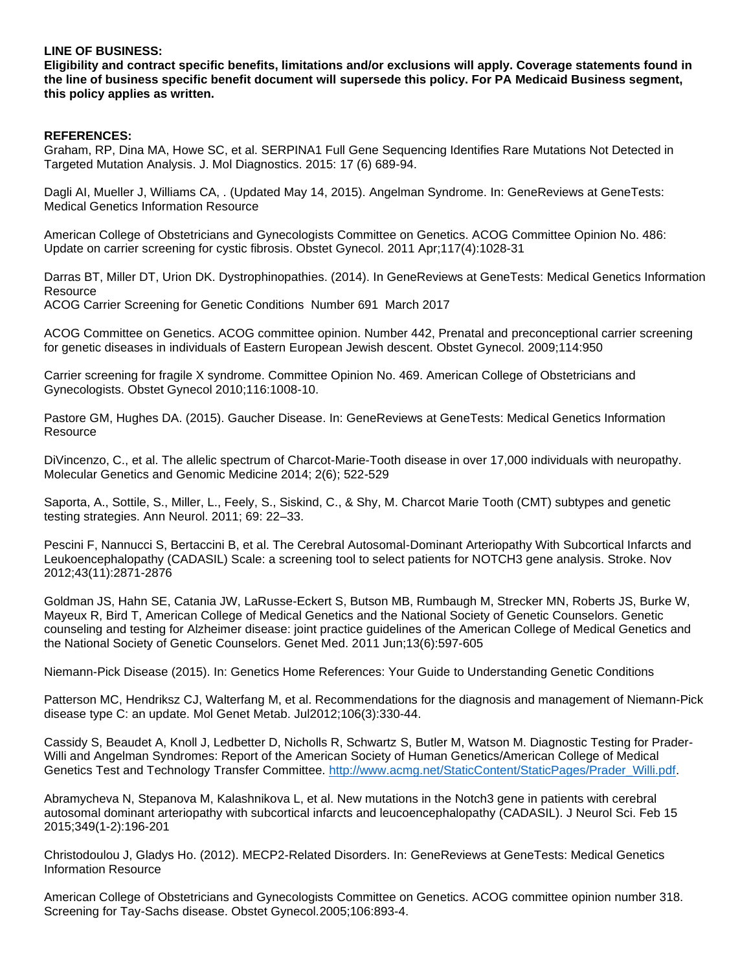#### **LINE OF BUSINESS:**

**Eligibility and contract specific benefits, limitations and/or exclusions will apply. Coverage statements found in the line of business specific benefit document will supersede this policy. For PA Medicaid Business segment, this policy applies as written.**

#### **REFERENCES:**

Graham, RP, Dina MA, Howe SC, et al. SERPINA1 Full Gene Sequencing Identifies Rare Mutations Not Detected in Targeted Mutation Analysis. J. Mol Diagnostics. 2015: 17 (6) 689-94.

Dagli AI, Mueller J, Williams CA, . (Updated May 14, 2015). Angelman Syndrome. In: GeneReviews at GeneTests: Medical Genetics Information Resource

American College of Obstetricians and Gynecologists Committee on Genetics. ACOG Committee Opinion No. 486: Update on carrier screening for cystic fibrosis. Obstet Gynecol. 2011 Apr;117(4):1028-31

Darras BT, Miller DT, Urion DK. Dystrophinopathies. (2014). In GeneReviews at GeneTests: Medical Genetics Information **Resource** 

ACOG Carrier Screening for Genetic Conditions Number 691 March 2017

ACOG Committee on Genetics. ACOG committee opinion. Number 442, Prenatal and preconceptional carrier screening for genetic diseases in individuals of Eastern European Jewish descent. Obstet Gynecol. 2009;114:950

Carrier screening for fragile X syndrome. Committee Opinion No. 469. American College of Obstetricians and Gynecologists. Obstet Gynecol 2010;116:1008-10.

Pastore GM, Hughes DA. (2015). Gaucher Disease. In: GeneReviews at GeneTests: Medical Genetics Information **Resource** 

DiVincenzo, C., et al. The allelic spectrum of Charcot-Marie-Tooth disease in over 17,000 individuals with neuropathy. Molecular Genetics and Genomic Medicine 2014; 2(6); 522-529

Saporta, A., Sottile, S., Miller, L., Feely, S., Siskind, C., & Shy, M. Charcot Marie Tooth (CMT) subtypes and genetic testing strategies. Ann Neurol. 2011; 69: 22–33.

Pescini F, Nannucci S, Bertaccini B, et al. The Cerebral Autosomal-Dominant Arteriopathy With Subcortical Infarcts and Leukoencephalopathy (CADASIL) Scale: a screening tool to select patients for NOTCH3 gene analysis. Stroke. Nov 2012;43(11):2871-2876

Goldman JS, Hahn SE, Catania JW, LaRusse-Eckert S, Butson MB, Rumbaugh M, Strecker MN, Roberts JS, Burke W, Mayeux R, Bird T, American College of Medical Genetics and the National Society of Genetic Counselors. Genetic counseling and testing for Alzheimer disease: joint practice guidelines of the American College of Medical Genetics and the National Society of Genetic Counselors. Genet Med. 2011 Jun;13(6):597-605

Niemann-Pick Disease (2015). In: Genetics Home References: Your Guide to Understanding Genetic Conditions

Patterson MC, Hendriksz CJ, Walterfang M, et al. Recommendations for the diagnosis and management of Niemann-Pick disease type C: an update. Mol Genet Metab. Jul2012;106(3):330-44.

Cassidy S, Beaudet A, Knoll J, Ledbetter D, Nicholls R, Schwartz S, Butler M, Watson M. Diagnostic Testing for Prader-Willi and Angelman Syndromes: Report of the American Society of Human Genetics/American College of Medical Genetics Test and Technology Transfer Committee. http://www.acmg.net/StaticContent/StaticPages/Prader\_Willi.pdf

Abramycheva N, Stepanova M, Kalashnikova L, et al. New mutations in the Notch3 gene in patients with cerebral autosomal dominant arteriopathy with subcortical infarcts and leucoencephalopathy (CADASIL). J Neurol Sci. Feb 15 2015;349(1-2):196-201

Christodoulou J, Gladys Ho. (2012). MECP2-Related Disorders. In: GeneReviews at GeneTests: Medical Genetics Information Resource

American College of Obstetricians and Gynecologists Committee on Genetics. ACOG committee opinion number 318. Screening for Tay-Sachs disease. Obstet Gynecol.2005;106:893-4.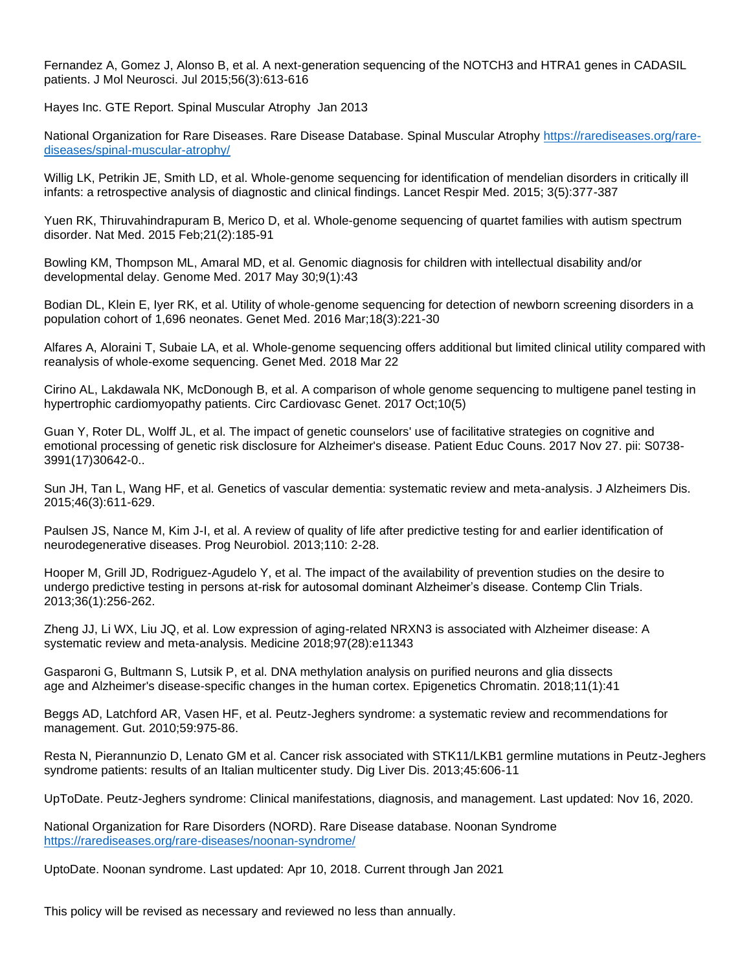Fernandez A, Gomez J, Alonso B, et al. A next-generation sequencing of the NOTCH3 and HTRA1 genes in CADASIL patients. J Mol Neurosci. Jul 2015;56(3):613-616

Hayes Inc. GTE Report. Spinal Muscular Atrophy Jan 2013

National Organization for Rare Diseases. Rare Disease Database. Spinal Muscular Atrophy [https://rarediseases.org/rare](https://rarediseases.org/rare-diseases/spinal-muscular-atrophy/)[diseases/spinal-muscular-atrophy/](https://rarediseases.org/rare-diseases/spinal-muscular-atrophy/)

Willig LK, Petrikin JE, Smith LD, et al. Whole-genome sequencing for identification of mendelian disorders in critically ill infants: a retrospective analysis of diagnostic and clinical findings. Lancet Respir Med. 2015; 3(5):377-387

Yuen RK, Thiruvahindrapuram B, Merico D, et al. Whole-genome sequencing of quartet families with autism spectrum disorder. Nat Med. 2015 Feb;21(2):185-91

Bowling KM, Thompson ML, Amaral MD, et al. Genomic diagnosis for children with intellectual disability and/or developmental delay. Genome Med. 2017 May 30;9(1):43

Bodian DL, Klein E, Iyer RK, et al. Utility of whole-genome sequencing for detection of newborn screening disorders in a population cohort of 1,696 neonates. Genet Med. 2016 Mar;18(3):221-30

Alfares A, Aloraini T, Subaie LA, et al. Whole-genome sequencing offers additional but limited clinical utility compared with reanalysis of whole-exome sequencing. Genet Med. 2018 Mar 22

Cirino AL, Lakdawala NK, McDonough B, et al. A comparison of whole genome sequencing to multigene panel testing in hypertrophic cardiomyopathy patients. Circ Cardiovasc Genet. 2017 Oct;10(5)

Guan Y, Roter DL, Wolff JL, et al. The impact of genetic counselors' use of facilitative strategies on cognitive and emotional processing of genetic risk disclosure for Alzheimer's disease. Patient Educ Couns. 2017 Nov 27. pii: S0738- 3991(17)30642-0..

Sun JH, Tan L, Wang HF, et al. Genetics of vascular dementia: systematic review and meta-analysis. J Alzheimers Dis. 2015;46(3):611-629.

Paulsen JS, Nance M, Kim J-I, et al. A review of quality of life after predictive testing for and earlier identification of neurodegenerative diseases. Prog Neurobiol. 2013;110: 2-28.

Hooper M, Grill JD, Rodriguez-Agudelo Y, et al. The impact of the availability of prevention studies on the desire to undergo predictive testing in persons at-risk for autosomal dominant Alzheimer's disease. Contemp Clin Trials. 2013;36(1):256-262.

Zheng JJ, Li WX, Liu JQ, et al. Low expression of aging-related NRXN3 is associated with Alzheimer disease: A systematic review and meta-analysis. Medicine 2018;97(28):e11343

Gasparoni G, Bultmann S, Lutsik P, et al. DNA methylation analysis on purified neurons and glia dissects age and Alzheimer's disease-specific changes in the human cortex. Epigenetics Chromatin. 2018;11(1):41

Beggs AD, Latchford AR, Vasen HF, et al. Peutz-Jeghers syndrome: a systematic review and recommendations for management. Gut. 2010;59:975-86.

Resta N, Pierannunzio D, Lenato GM et al. Cancer risk associated with STK11/LKB1 germline mutations in Peutz-Jeghers syndrome patients: results of an Italian multicenter study. Dig Liver Dis. 2013;45:606-11

UpToDate. Peutz-Jeghers syndrome: Clinical manifestations, diagnosis, and management. Last updated: Nov 16, 2020.

National Organization for Rare Disorders (NORD). Rare Disease database. Noonan Syndrome <https://rarediseases.org/rare-diseases/noonan-syndrome/>

UptoDate. Noonan syndrome. Last updated: Apr 10, 2018. Current through Jan 2021

This policy will be revised as necessary and reviewed no less than annually.